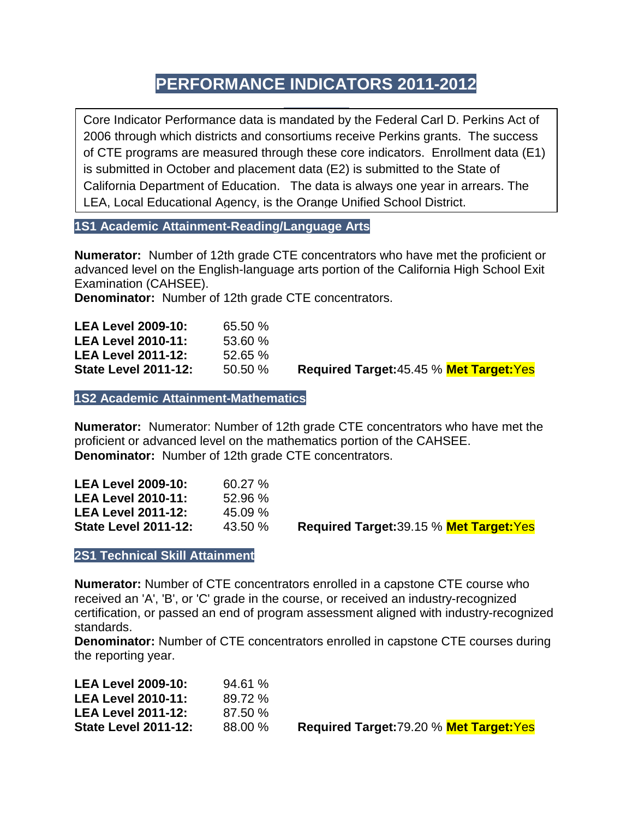# **PERFORMANCE INDICATORS 2011-2012**

Core Indicator Performance data is mandated by the Federal Carl D. Perkins Act of 2006 through which districts and consortiums receive Perkins grants. The success of CTE programs are measured through these core indicators. Enrollment data (E1) is submitted in October and placement data (E2) is submitted to the State of California Department of Education. The data is always one year in arrears. The LEA, Local Educational Agency, is the Orange Unified School District.

**1S1 Academic Attainment-Reading/Language Arts**

**Numerator:** Number of 12th grade CTE concentrators who have met the proficient or advanced level on the English-language arts portion of the California High School Exit Examination (CAHSEE).

**Denominator:** Number of 12th grade CTE concentrators.

| <b>LEA Level 2009-10:</b><br>65.50 %  |                                                |
|---------------------------------------|------------------------------------------------|
| <b>LEA Level 2010-11:</b><br>53.60%   |                                                |
| <b>LEA Level 2011-12:</b><br>52.65%   |                                                |
| <b>State Level 2011-12:</b><br>50.50% | <b>Required Target:45.45 % Met Target: Yes</b> |

**1S2 Academic Attainment-Mathematics**

**Numerator:** Numerator: Number of 12th grade CTE concentrators who have met the proficient or advanced level on the mathematics portion of the CAHSEE. **Denominator:** Number of 12th grade CTE concentrators.

| <b>LEA Level 2009-10:</b>   | $60.27 \%$ |                                          |
|-----------------------------|------------|------------------------------------------|
| <b>LEA Level 2010-11:</b>   | $52.96\%$  |                                          |
| <b>LEA Level 2011-12:</b>   | $45.09\%$  |                                          |
| <b>State Level 2011-12:</b> | 43.50 %    | Required Target: 39.15 % Met Target: Yes |
|                             |            |                                          |

**2S1 Technical Skill Attainment**

**Numerator:** Number of CTE concentrators enrolled in a capstone CTE course who received an 'A', 'B', or 'C' grade in the course, or received an industry-recognized certification, or passed an end of program assessment aligned with industry-recognized standards.

**Denominator:** Number of CTE concentrators enrolled in capstone CTE courses during the reporting year.

| <b>LEA Level 2009-10:</b>   | 94.61%  |
|-----------------------------|---------|
| <b>LEA Level 2010-11:</b>   | 89.72 % |
| <b>LEA Level 2011-12:</b>   | 87.50 % |
| <b>State Level 2011-12:</b> | 88.00 % |

**State Level 2011-12:** 88.00 % **Required Target:**79.20 % **Met Target:**Yes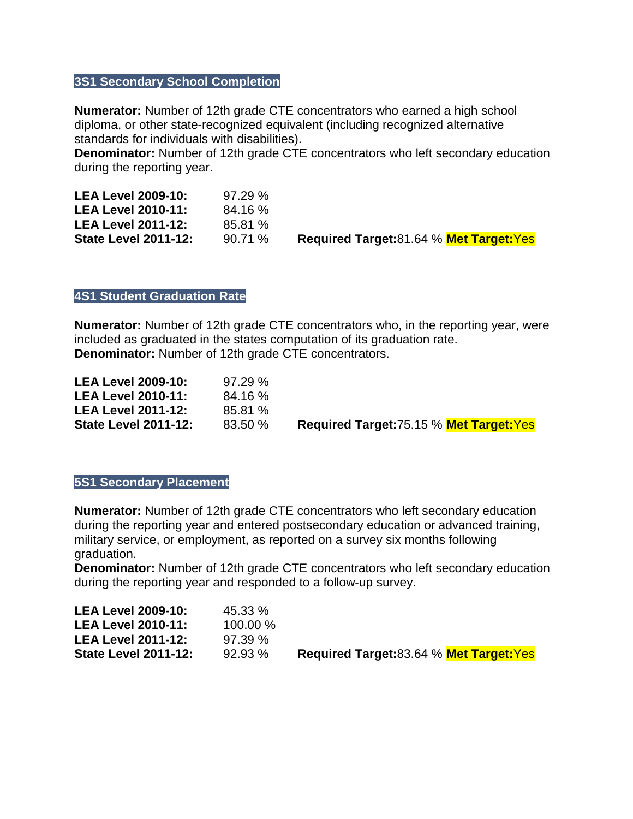## **3S1 Secondary School Completion**

**Numerator:** Number of 12th grade CTE concentrators who earned a high school diploma, or other state-recognized equivalent (including recognized alternative standards for individuals with disabilities).

**Denominator:** Number of 12th grade CTE concentrators who left secondary education during the reporting year.

| <b>LEA Level 2009-10:</b>   | 97.29%  |   |
|-----------------------------|---------|---|
| <b>LEA Level 2010-11:</b>   | 84.16%  |   |
| <b>LEA Level 2011-12:</b>   | 85.81 % |   |
| <b>State Level 2011-12:</b> | 90.71%  | R |

**State Level 2011-12:** 90.71 % **Required Target:**81.64 % **Met Target:**Yes

### **4S1 Student Graduation Rate**

**Numerator:** Number of 12th grade CTE concentrators who, in the reporting year, were included as graduated in the states computation of its graduation rate. **Denominator:** Number of 12th grade CTE concentrators.

| <b>LEA Level 2009-10:</b>   | 97.29%  |                                                |
|-----------------------------|---------|------------------------------------------------|
| <b>LEA Level 2010-11:</b>   | 84.16 % |                                                |
| <b>LEA Level 2011-12:</b>   | 85.81 % |                                                |
| <b>State Level 2011-12:</b> | 83.50 % | <b>Required Target:75.15 % Met Target: Yes</b> |

#### **5S1 Secondary Placement**

**Numerator:** Number of 12th grade CTE concentrators who left secondary education during the reporting year and entered postsecondary education or advanced training, military service, or employment, as reported on a survey six months following graduation.

**Denominator:** Number of 12th grade CTE concentrators who left secondary education during the reporting year and responded to a follow-up survey.

| <b>LEA Level 2009-10:</b>   | 45.33 %    |                                               |
|-----------------------------|------------|-----------------------------------------------|
| <b>LEA Level 2010-11:</b>   | $100.00\%$ |                                               |
| <b>LEA Level 2011-12:</b>   | 97.39%     |                                               |
| <b>State Level 2011-12:</b> | 92.93%     | <b>Required Target:83.64 % Met Target:Yes</b> |